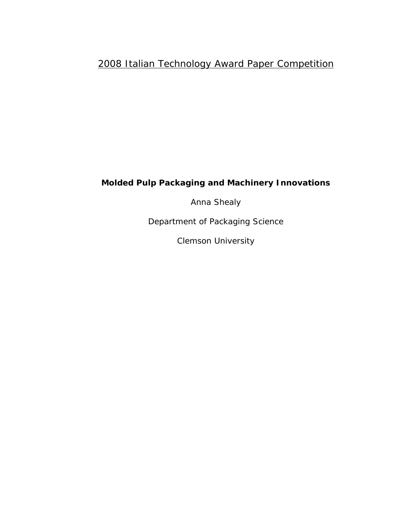## 2008 Italian Technology Award Paper Competition

## *Molded Pulp Packaging and Machinery Innovations*

Anna Shealy

Department of Packaging Science

Clemson University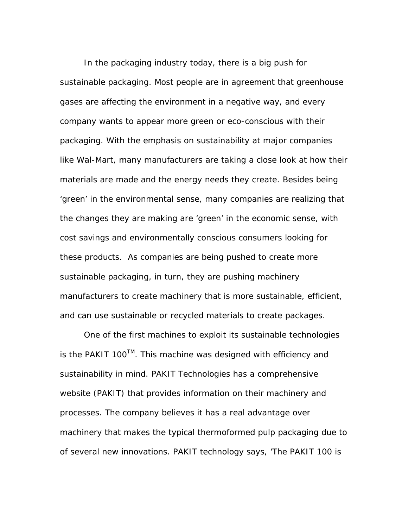In the packaging industry today, there is a big push for sustainable packaging. Most people are in agreement that greenhouse gases are affecting the environment in a negative way, and every company wants to appear more green or eco-conscious with their packaging. With the emphasis on sustainability at major companies like Wal-Mart, many manufacturers are taking a close look at how their materials are made and the energy needs they create. Besides being 'green' in the environmental sense, many companies are realizing that the changes they are making are 'green' in the economic sense, with cost savings and environmentally conscious consumers looking for these products. As companies are being pushed to create more sustainable packaging, in turn, they are pushing machinery manufacturers to create machinery that is more sustainable, efficient, and can use sustainable or recycled materials to create packages.

One of the first machines to exploit its sustainable technologies is the PAKIT 100™. This machine was designed with efficiency and sustainability in mind. PAKIT Technologies has a comprehensive website (PAKIT) that provides information on their machinery and processes. The company believes it has a real advantage over machinery that makes the typical thermoformed pulp packaging due to of several new innovations. PAKIT technology says, 'The PAKIT 100 is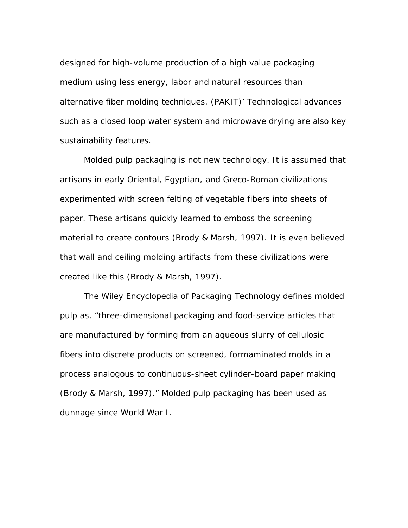designed for high-volume production of a high value packaging medium using less energy, labor and natural resources than alternative fiber molding techniques. (PAKIT)' Technological advances such as a closed loop water system and microwave drying are also key sustainability features.

Molded pulp packaging is not new technology. It is assumed that artisans in early Oriental, Egyptian, and Greco-Roman civilizations experimented with screen felting of vegetable fibers into sheets of paper. These artisans quickly learned to emboss the screening material to create contours (Brody & Marsh, 1997). It is even believed that wall and ceiling molding artifacts from these civilizations were created like this (Brody & Marsh, 1997).

The Wiley Encyclopedia of Packaging Technology defines molded pulp as, "three-dimensional packaging and food-service articles that are manufactured by forming from an aqueous slurry of cellulosic fibers into discrete products on screened, formaminated molds in a process analogous to continuous-sheet cylinder-board paper making (Brody & Marsh, 1997)." Molded pulp packaging has been used as dunnage since World War I.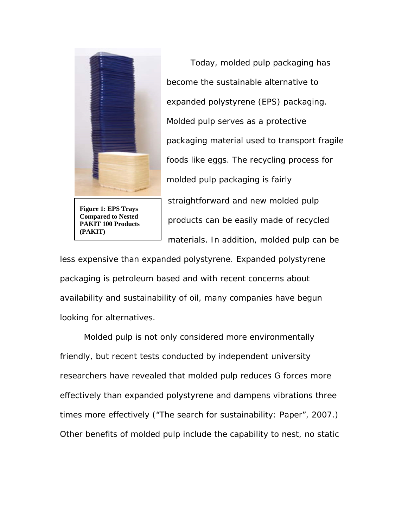

**Figure 1: EPS Trays Compared to Nested PAKIT 100 Products (PAKIT)** 

Today, molded pulp packaging has become the sustainable alternative to expanded polystyrene (EPS) packaging. Molded pulp serves as a protective packaging material used to transport fragile foods like eggs. The recycling process for molded pulp packaging is fairly straightforward and new molded pulp products can be easily made of recycled materials. In addition, molded pulp can be

less expensive than expanded polystyrene. Expanded polystyrene packaging is petroleum based and with recent concerns about availability and sustainability of oil, many companies have begun looking for alternatives.

Molded pulp is not only considered more environmentally friendly, but recent tests conducted by independent university researchers have revealed that molded pulp reduces G forces more effectively than expanded polystyrene and dampens vibrations three times more effectively ("The search for sustainability: Paper", 2007.) Other benefits of molded pulp include the capability to nest, no static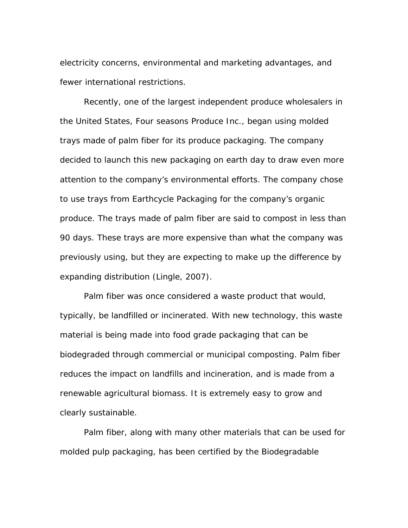electricity concerns, environmental and marketing advantages, and fewer international restrictions.

Recently, one of the largest independent produce wholesalers in the United States, Four seasons Produce Inc., began using molded trays made of palm fiber for its produce packaging. The company decided to launch this new packaging on earth day to draw even more attention to the company's environmental efforts. The company chose to use trays from Earthcycle Packaging for the company's organic produce. The trays made of palm fiber are said to compost in less than 90 days. These trays are more expensive than what the company was previously using, but they are expecting to make up the difference by expanding distribution (Lingle, 2007).

Palm fiber was once considered a waste product that would, typically, be landfilled or incinerated. With new technology, this waste material is being made into food grade packaging that can be biodegraded through commercial or municipal composting. Palm fiber reduces the impact on landfills and incineration, and is made from a renewable agricultural biomass. It is extremely easy to grow and clearly sustainable.

Palm fiber, along with many other materials that can be used for molded pulp packaging, has been certified by the Biodegradable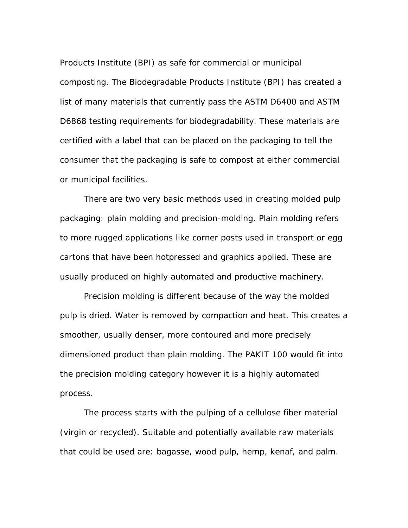Products Institute (BPI) as safe for commercial or municipal composting. The Biodegradable Products Institute (BPI) has created a list of many materials that currently pass the ASTM D6400 and ASTM D6868 testing requirements for biodegradability. These materials are certified with a label that can be placed on the packaging to tell the consumer that the packaging is safe to compost at either commercial or municipal facilities.

There are two very basic methods used in creating molded pulp packaging: plain molding and precision-molding. Plain molding refers to more rugged applications like corner posts used in transport or egg cartons that have been hotpressed and graphics applied. These are usually produced on highly automated and productive machinery.

Precision molding is different because of the way the molded pulp is dried. Water is removed by compaction and heat. This creates a smoother, usually denser, more contoured and more precisely dimensioned product than plain molding. The PAKIT 100 would fit into the precision molding category however it is a highly automated process.

The process starts with the pulping of a cellulose fiber material (virgin or recycled). Suitable and potentially available raw materials that could be used are: bagasse, wood pulp, hemp, kenaf, and palm.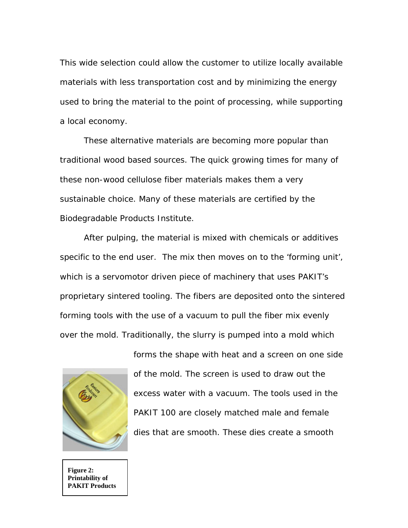This wide selection could allow the customer to utilize locally available materials with less transportation cost and by minimizing the energy used to bring the material to the point of processing, while supporting a local economy.

These alternative materials are becoming more popular than traditional wood based sources. The quick growing times for many of these non-wood cellulose fiber materials makes them a very sustainable choice. Many of these materials are certified by the Biodegradable Products Institute.

After pulping, the material is mixed with chemicals or additives specific to the end user. The mix then moves on to the 'forming unit', which is a servomotor driven piece of machinery that uses PAKIT's proprietary sintered tooling. The fibers are deposited onto the sintered forming tools with the use of a vacuum to pull the fiber mix evenly over the mold. Traditionally, the slurry is pumped into a mold which



forms the shape with heat and a screen on one side of the mold. The screen is used to draw out the excess water with a vacuum. The tools used in the PAKIT 100 are closely matched male and female dies that are smooth. These dies create a smooth

**Figure 2: Printability of PAKIT Products**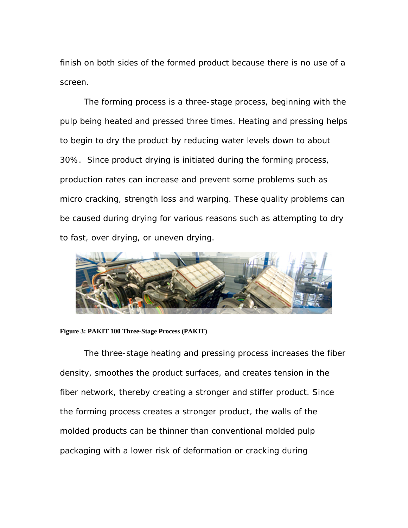finish on both sides of the formed product because there is no use of a screen.

The forming process is a three-stage process, beginning with the pulp being heated and pressed three times. Heating and pressing helps to begin to dry the product by reducing water levels down to about 30%. Since product drying is initiated during the forming process, production rates can increase and prevent some problems such as micro cracking, strength loss and warping. These quality problems can be caused during drying for various reasons such as attempting to dry to fast, over drying, or uneven drying.



**Figure 3: PAKIT 100 Three-Stage Process (PAKIT)** 

The three-stage heating and pressing process increases the fiber density, smoothes the product surfaces, and creates tension in the fiber network, thereby creating a stronger and stiffer product. Since the forming process creates a stronger product, the walls of the molded products can be thinner than conventional molded pulp packaging with a lower risk of deformation or cracking during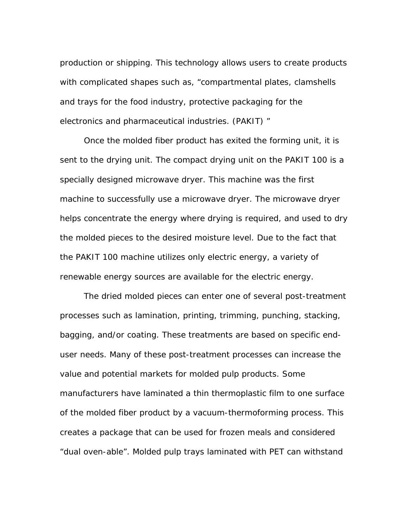production or shipping. This technology allows users to create products with complicated shapes such as, "compartmental plates, clamshells and trays for the food industry, protective packaging for the electronics and pharmaceutical industries. (PAKIT) "

Once the molded fiber product has exited the forming unit, it is sent to the drying unit. The compact drying unit on the PAKIT 100 is a specially designed microwave dryer. This machine was the first machine to successfully use a microwave dryer. The microwave dryer helps concentrate the energy where drying is required, and used to dry the molded pieces to the desired moisture level. Due to the fact that the PAKIT 100 machine utilizes only electric energy, a variety of renewable energy sources are available for the electric energy.

The dried molded pieces can enter one of several post-treatment processes such as lamination, printing, trimming, punching, stacking, bagging, and/or coating. These treatments are based on specific enduser needs. Many of these post-treatment processes can increase the value and potential markets for molded pulp products. Some manufacturers have laminated a thin thermoplastic film to one surface of the molded fiber product by a vacuum-thermoforming process. This creates a package that can be used for frozen meals and considered "dual oven-able". Molded pulp trays laminated with PET can withstand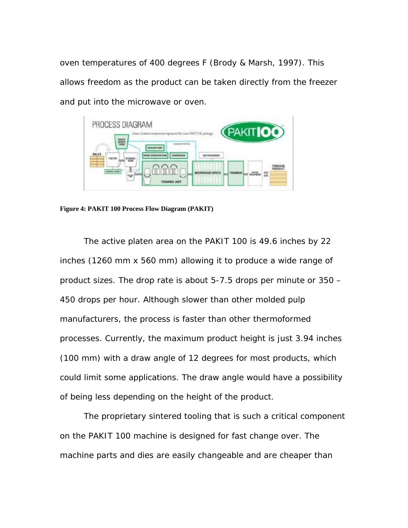oven temperatures of 400 degrees F (Brody & Marsh, 1997). This allows freedom as the product can be taken directly from the freezer and put into the microwave or oven.



**Figure 4: PAKIT 100 Process Flow Diagram (PAKIT)** 

The active platen area on the PAKIT 100 is 49.6 inches by 22 inches (1260 mm x 560 mm) allowing it to produce a wide range of product sizes. The drop rate is about 5-7.5 drops per minute or 350 – 450 drops per hour. Although slower than other molded pulp manufacturers, the process is faster than other thermoformed processes. Currently, the maximum product height is just 3.94 inches (100 mm) with a draw angle of 12 degrees for most products, which could limit some applications. The draw angle would have a possibility of being less depending on the height of the product.

The proprietary sintered tooling that is such a critical component on the PAKIT 100 machine is designed for fast change over. The machine parts and dies are easily changeable and are cheaper than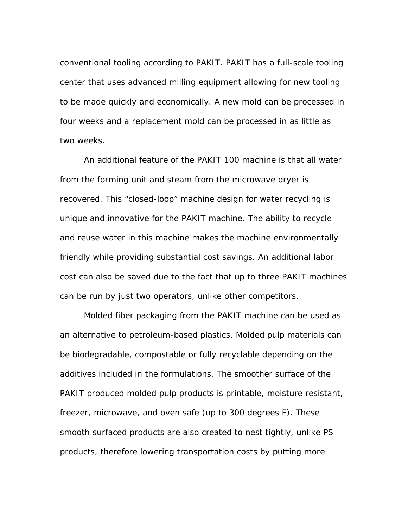conventional tooling according to PAKIT. PAKIT has a full-scale tooling center that uses advanced milling equipment allowing for new tooling to be made quickly and economically. A new mold can be processed in four weeks and a replacement mold can be processed in as little as two weeks.

An additional feature of the PAKIT 100 machine is that all water from the forming unit and steam from the microwave dryer is recovered. This "closed-loop" machine design for water recycling is unique and innovative for the PAKIT machine. The ability to recycle and reuse water in this machine makes the machine environmentally friendly while providing substantial cost savings. An additional labor cost can also be saved due to the fact that up to three PAKIT machines can be run by just two operators, unlike other competitors.

Molded fiber packaging from the PAKIT machine can be used as an alternative to petroleum-based plastics. Molded pulp materials can be biodegradable, compostable or fully recyclable depending on the additives included in the formulations. The smoother surface of the PAKIT produced molded pulp products is printable, moisture resistant, freezer, microwave, and oven safe (up to 300 degrees F). These smooth surfaced products are also created to nest tightly, unlike PS products, therefore lowering transportation costs by putting more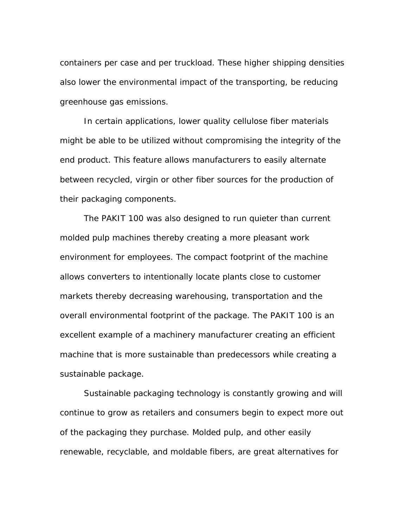containers per case and per truckload. These higher shipping densities also lower the environmental impact of the transporting, be reducing greenhouse gas emissions.

In certain applications, lower quality cellulose fiber materials might be able to be utilized without compromising the integrity of the end product. This feature allows manufacturers to easily alternate between recycled, virgin or other fiber sources for the production of their packaging components.

The PAKIT 100 was also designed to run quieter than current molded pulp machines thereby creating a more pleasant work environment for employees. The compact footprint of the machine allows converters to intentionally locate plants close to customer markets thereby decreasing warehousing, transportation and the overall environmental footprint of the package. The PAKIT 100 is an excellent example of a machinery manufacturer creating an efficient machine that is more sustainable than predecessors while creating a sustainable package.

Sustainable packaging technology is constantly growing and will continue to grow as retailers and consumers begin to expect more out of the packaging they purchase. Molded pulp, and other easily renewable, recyclable, and moldable fibers, are great alternatives for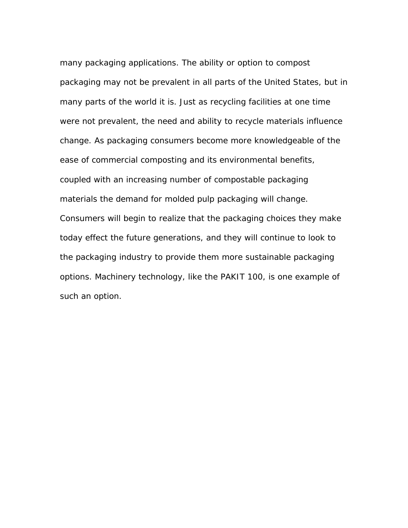many packaging applications. The ability or option to compost packaging may not be prevalent in all parts of the United States, but in many parts of the world it is. Just as recycling facilities at one time were not prevalent, the need and ability to recycle materials influence change. As packaging consumers become more knowledgeable of the ease of commercial composting and its environmental benefits, coupled with an increasing number of compostable packaging materials the demand for molded pulp packaging will change. Consumers will begin to realize that the packaging choices they make today effect the future generations, and they will continue to look to the packaging industry to provide them more sustainable packaging options. Machinery technology, like the PAKIT 100, is one example of such an option.